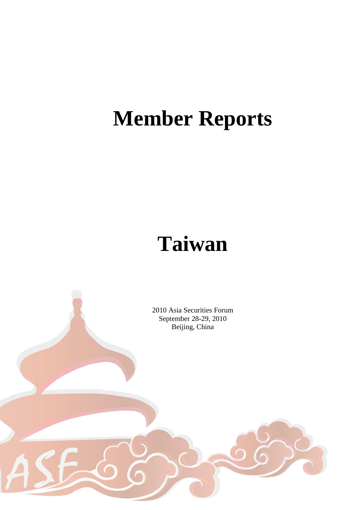# **Member Reports**

# **Taiwan**

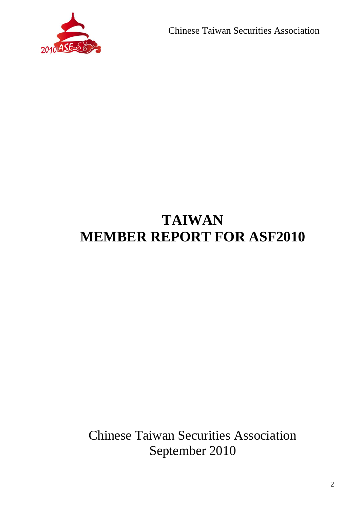

Chinese Taiwan Securities Association

# **TAIWAN MEMBER REPORT FOR ASF2010**

Chinese Taiwan Securities Association September 2010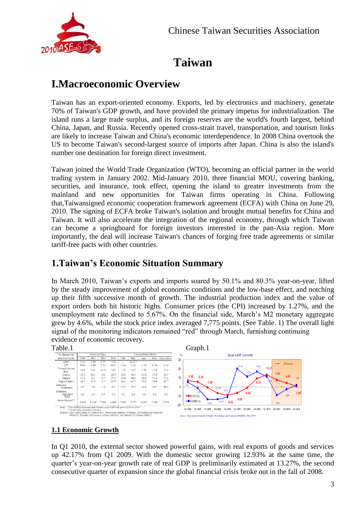

## **Taiwan**

### **I.Macroeconomic Overview**

Taiwan has an export-oriented economy. Exports, led by electronics and machinery, generate 70% of Taiwan's GDP growth, and have provided the primary impetus for industrialization. The island runs a large trade surplus, and its foreign reserves are the world's fourth largest, behind China, Japan, and Russia. Recently opened cross-strait travel, transportation, and tourism links are likely to increase Taiwan and China's economic interdependence. In 2008 China overtook the US to become Taiwan's second-largest source of imports after Japan. China is also the island's number one destination for foreign direct investment.

Taiwan joined the World Trade Organization (WTO), becoming an official partner in the world trading system in January 2002. Mid-January 2010, three financial MOU, covering banking, securities, and insurance, took effect, opening the island to greater investments from the mainland and new opportunities for Taiwan firms operating in China. Following that,Taiwansigned economic cooperation framework agreement (ECFA) with China on June 29, 2010. The signing of ECFA broke Taiwan's isolation and brought mutual benefits for China and Taiwan. It will also accelerate the integration of the regional economy, through which Taiwan can become a springboard for foreign investors interested in the pan-Asia region. More importantly, the deal will increase Taiwan's chances of forging free trade agreements or similar tariff-free pacts with other countries.

### **1.Taiwan's Economic Situation Summary**

In March 2010, Taiwan's exports and imports soared by 50.1% and 80.3% year-on-year, lifted by the steady improvement of global economic conditions and the low-base effect, and notching up their fifth successive month of growth. The industrial production index and the value of export orders both hit historic highs. Consumer prices (the CPI) increased by 1.27%, and the unemployment rate declined to 5.67%. On the financial side, March's M2 monetary aggregate grew by 4.6%, while the stock price index averaged 7,775 points. (See Table. 1) The overall light signal of the monitoring indicators remained "red" through March, furnishing continuing evidence of economic recovery.



### **1.1 Economic Growth**

In Q1 2010, the external sector showed powerful gains, with real exports of goods and services up 42.17% from Q1 2009. With the domestic sector growing 12.93% at the same time, the quarter's year-on-year growth rate of real GDP is preliminarily estimated at 13.27%, the second consecutive quarter of expansion since the global financial crisis broke out in the fall of 2008.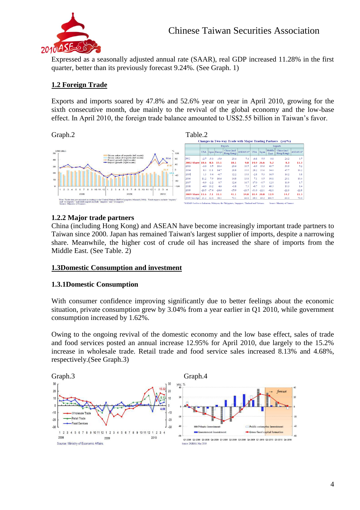

Expressed as a seasonally adjusted annual rate (SAAR), real GDP increased 11.28% in the first quarter, better than its previously forecast 9.24%. (See Graph. 1)

### **1.2 Foreign Trade**

Exports and imports soared by 47.8% and 52.6% year on year in April 2010, growing for the sixth consecutive month, due mainly to the revival of the global economy and the low-base effect. In April 2010, the foreign trade balance amounted to US\$2.55 billion in Taiwan's favor.



#### **1.2.2 Major trade partners**

China (including Hong Kong) and ASEAN have become increasingly important trade partners to Taiwan since 2000. Japan has remained Taiwan's largest supplier of imports, despite a narrowing share. Meanwhile, the higher cost of crude oil has increased the share of imports from the Middle East. (See Table. 2)

#### **1.3Domestic Consumption and investment**

#### **1.3.1Domestic Consumption**

With consumer confidence improving significantly due to better feelings about the economic situation, private consumption grew by 3.04% from a year earlier in Q1 2010, while government consumption increased by 1.62%.

Owing to the ongoing revival of the domestic economy and the low base effect, sales of trade and food services posted an annual increase 12.95% for April 2010, due largely to the 15.2% increase in wholesale trade. Retail trade and food service sales increased 8.13% and 4.68%, respectively.(See Graph.3)

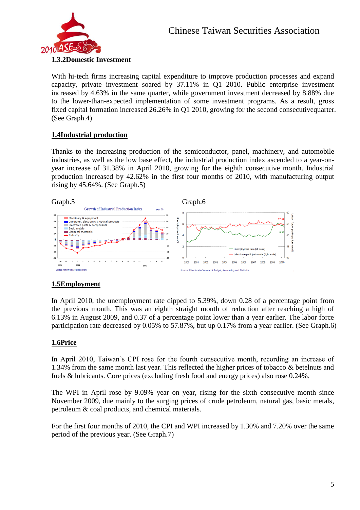

#### **1.3.2Domestic Investment**

With hi-tech firms increasing capital expenditure to improve production processes and expand capacity, private investment soared by 37.11% in Q1 2010. Public enterprise investment increased by 4.63% in the same quarter, while government investment decreased by 8.88% due to the lower-than-expected implementation of some investment programs. As a result, gross fixed capital formation increased 26.26% in Q1 2010, growing for the second consecutivequarter. (See Graph.4)

### **1.4Industrial production**

Thanks to the increasing production of the semiconductor, panel, machinery, and automobile industries, as well as the low base effect, the industrial production index ascended to a year-onyear increase of 31.38% in April 2010, growing for the eighth consecutive month. Industrial production increased by 42.62% in the first four months of 2010, with manufacturing output rising by 45.64%. (See Graph.5)



### **1.5Employment**

In April 2010, the unemployment rate dipped to 5.39%, down 0.28 of a percentage point from the previous month. This was an eighth straight month of reduction after reaching a high of 6.13% in August 2009, and 0.37 of a percentage point lower than a year earlier. The labor force participation rate decreased by 0.05% to 57.87%, but up 0.17% from a year earlier. (See Graph.6)

### **1.6Price**

In April 2010, Taiwan's CPI rose for the fourth consecutive month, recording an increase of 1.34% from the same month last year. This reflected the higher prices of tobacco & betelnuts and fuels & lubricants. Core prices (excluding fresh food and energy prices) also rose 0.24%.

The WPI in April rose by 9.09% year on year, rising for the sixth consecutive month since November 2009, due mainly to the surging prices of crude petroleum, natural gas, basic metals, petroleum & coal products, and chemical materials.

For the first four months of 2010, the CPI and WPI increased by 1.30% and 7.20% over the same period of the previous year. (See Graph.7)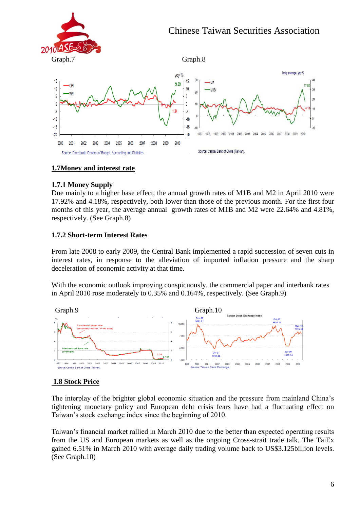



### **1.7Money and interest rate**

### **1.7.1 Money Supply**

Due mainly to a higher base effect, the annual growth rates of M1B and M2 in April 2010 were 17.92% and 4.18%, respectively, both lower than those of the previous month. For the first four months of this year, the average annual growth rates of M1B and M2 were 22.64% and 4.81%, respectively. (See Graph.8)

### **1.7.2 Short-term Interest Rates**

From late 2008 to early 2009, the Central Bank implemented a rapid succession of seven cuts in interest rates, in response to the alleviation of imported inflation pressure and the sharp deceleration of economic activity at that time.

With the economic outlook improving conspicuously, the commercial paper and interbank rates in April 2010 rose moderately to 0.35% and 0.164%, respectively. (See Graph.9)



### **1.8 Stock Price**

The interplay of the brighter global economic situation and the pressure from mainland China's tightening monetary policy and European debt crisis fears have had a fluctuating effect on Taiwan's stock exchange index since the beginning of 2010.

Taiwan's financial market rallied in March 2010 due to the better than expected operating results from the US and European markets as well as the ongoing Cross-strait trade talk. The TaiEx gained 6.51% in March 2010 with average daily trading volume back to US\$3.125billion levels. (See Graph.10)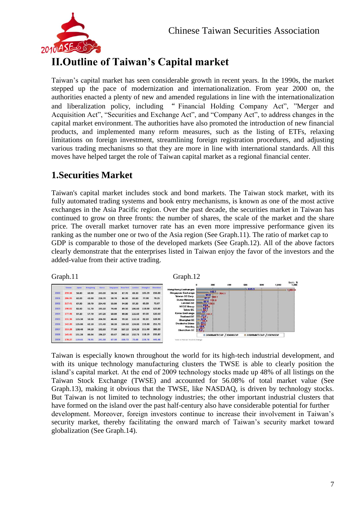

## **II.Outline of Taiwan's Capital market**

Taiwan's capital market has seen considerable growth in recent years. In the 1990s, the market stepped up the pace of modernization and internationalization. From year 2000 on, the authorities enacted a plenty of new and amended regulations in line with the internationalization and liberalization policy, including " Financial Holding Company Act", "Merger and Acquisition Act", "Securities and Exchange Act", and "Company Act", to address changes in the capital market environment. The authorities have also promoted the introduction of new financial products, and implemented many reform measures, such as the listing of ETFs, relaxing limitations on foreign investment, streamlining foreign registration procedures, and adjusting various trading mechanisms so that they are more in line with international standards. All this moves have helped target the role of Taiwan capital market as a regional financial center.

### **1.Securities Market**

Taiwan's capital market includes stock and bond markets. The Taiwan stock market, with its fully automated trading systems and book entry mechanisms, is known as one of the most active exchanges in the Asia Pacific region. Over the past decade, the securities market in Taiwan has continued to grow on three fronts: the number of shares, the scale of the market and the share price. The overall market turnover rate has an even more impressive performance given its ranking as the number one or two of the Asia region (See Graph.11). The ratio of market cap to GDP is comparable to those of the developed markets (See Graph.12). All of the above factors clearly demonstrate that the enterprises listed in Taiwan enjoy the favor of the investors and the added-value from their active trading.

Graph.11 Graph.12

|      | Taiwan | Japan  | Hongkong | Korea  | <b>Singapore</b> | <b>New York</b> | London | Shanghai | Shenzhen |
|------|--------|--------|----------|--------|------------------|-----------------|--------|----------|----------|
| 2000 | 259.16 | 58.80  | 60.90    | 243.00 | 58.50            | 87.70           | 69.30  | 185.29   | 156.00   |
| 2001 | 206.95 | 60.00  | 43.90    | 218.70 | 58.70            | 86.90           | 83.80  | 77.98    | 78.25    |
| 2002 | 217.41 | 67.90  | 39.70    | 254.40 | 53.80            | 94.80           | 97.30  | 60.33    | 72.07    |
| 2003 | 190.82 | 82.60  | 51.70    | 193.10 | 74.40            | 89.50           | 106.60 | 118.00   | 125.80   |
| 2004 | 177.46 | 97.10  | 57.70    | 147.20 | 60.80            | 89.80           | 116.60 | 87.00    | 120.50   |
| 2005 | 131.36 | 115.30 | 50.30    | 206.90 | 48.40            | 99.10           | 110.10 | 82.10    | 128.90   |
| 2006 | 142.20 | 125.80 | 62.10    | 171.40 | 58.20            | 134.30          | 124.80 | 153.80   | 251.70   |
| 2007 | 153.28 | 138.40 | 94.10    | 192.60 | 77.60            | 167.10          | 154.20 | 211.00   | 389.20   |
| 2008 | 145.45 | 151.20 | 86.04    | 196.27 | 63.67            | 240.16          | 152.73 | 118.19   | 235.87   |
| 2009 | 178.27 | 119.65 | 78.95    | 241.58 | 67.30            | 158.72          | 73.68  | 228.78   | 445.48   |





Taiwan is especially known throughout the world for its high-tech industrial development, and with its unique technology manufacturing clusters the TWSE is able to clearly position the island's capital market. At the end of 2009 technology stocks made up 48% of all listings on the Taiwan Stock Exchange (TWSE) and accounted for 56.08% of total market value (See Graph.13), making it obvious that the TWSE, like NASDAQ, is driven by technology stocks. But Taiwan is not limited to technology industries; the other important industrial clusters that have formed on the island over the past half-century also have considerable potential for further development. Moreover, foreign investors continue to increase their involvement in Taiwan's security market, thereby facilitating the onward march of Taiwan's security market toward globalization (See Graph.14).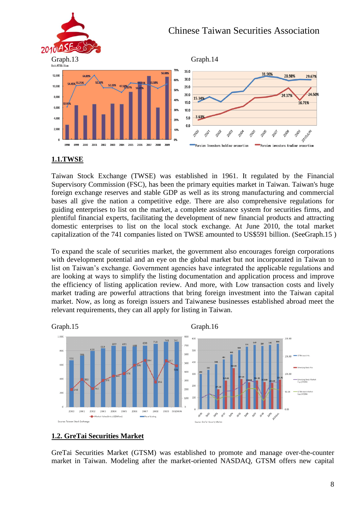#### Chinese Taiwan Securities Association  $2010A$  $Graph.13$  Graph.14 70% 35.0 31.90% 28.98% 12,000 29.67%  $300$ 10.000  $250$ 50% 24.50% 20.0 8,000 15.34% **40%**  $150$ 16 71% 6.000 30%  $10.0$  $3.639$ 5.0 4.000 20%  $0.0$ 2,000 10% 2005 2006 2007 Investors holding proportion Foreign investors trading proportion

### **1.1.TWSE**

Taiwan Stock Exchange (TWSE) was established in 1961. It regulated by the Financial Supervisory Commission (FSC), has been the primary equities market in Taiwan. Taiwan's huge foreign exchange reserves and stable GDP as well as its strong manufacturing and commercial bases all give the nation a competitive edge. There are also comprehensive regulations for guiding enterprises to list on the market, a complete assistance system for securities firms, and plentiful financial experts, facilitating the development of new financial products and attracting domestic enterprises to list on the local stock exchange. At June 2010, the total market capitalization of the 741 companies listed on TWSE amounted to US\$591 billion. (SeeGraph.15 )

To expand the scale of securities market, the government also encourages foreign corporations with development potential and an eye on the global market but not incorporated in Taiwan to list on Taiwan's exchange. Government agencies have integrated the applicable regulations and are looking at ways to simplify the listing documentation and application process and improve the efficiency of listing application review. And more, with Low transaction costs and lively market trading are powerful attractions that bring foreign investment into the Taiwan capital market. Now, as long as foreign issuers and Taiwanese businesses established abroad meet the relevant requirements, they can all apply for listing in Taiwan.



### **1.2. GreTai Securities Market**

GreTai Securities Market (GTSM) was established to promote and manage over-the-counter market in Taiwan. Modeling after the market-oriented NASDAQ, GTSM offers new capital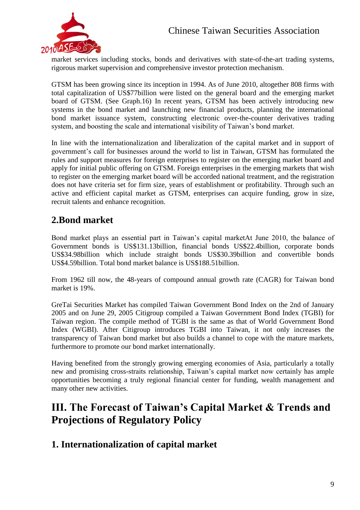

market services including stocks, bonds and derivatives with state-of-the-art trading systems, rigorous market supervision and comprehensive investor protection mechanism.

GTSM has been growing since its inception in 1994. As of June 2010, altogether 808 firms with total capitalization of US\$77billion were listed on the general board and the emerging market board of GTSM. (See Graph.16) In recent years, GTSM has been actively introducing new systems in the bond market and launching new financial products, planning the international bond market issuance system, constructing electronic over-the-counter derivatives trading system, and boosting the scale and international visibility of Taiwan's bond market.

In line with the internationalization and liberalization of the capital market and in support of government's call for businesses around the world to list in Taiwan, GTSM has formulated the rules and support measures for foreign enterprises to register on the emerging market board and apply for initial public offering on GTSM. Foreign enterprises in the emerging markets that wish to register on the emerging market board will be accorded national treatment, and the registration does not have criteria set for firm size, years of establishment or profitability. Through such an active and efficient capital market as GTSM, enterprises can acquire funding, grow in size, recruit talents and enhance recognition.

### **2.Bond market**

Bond market plays an essential part in Taiwan's capital marketAt June 2010, the balance of Government bonds is US\$131.13billion, financial bonds US\$22.4billion, corporate bonds US\$34.98billion which include straight bonds US\$30.39billion and convertible bonds US\$4.59billion. Total bond market balance is US\$188.51billion.

From 1962 till now, the 48-years of compound annual growth rate (CAGR) for Taiwan bond market is 19%.

GreTai Securities Market has compiled Taiwan Government Bond Index on the 2nd of January 2005 and on June 29, 2005 Citigroup compiled a Taiwan Government Bond Index (TGBI) for Taiwan region. The compile method of TGBI is the same as that of World Government Bond Index (WGBI). After Citigroup introduces TGBI into Taiwan, it not only increases the transparency of Taiwan bond market but also builds a channel to cope with the mature markets, furthermore to promote our bond market internationally.

Having benefited from the strongly growing emerging economies of Asia, particularly a totally new and promising cross-straits relationship, Taiwan's capital market now certainly has ample opportunities becoming a truly regional financial center for funding, wealth management and many other new activities.

### **III. The Forecast of Taiwan's Capital Market & Trends and Projections of Regulatory Policy**

### **1. Internationalization of capital market**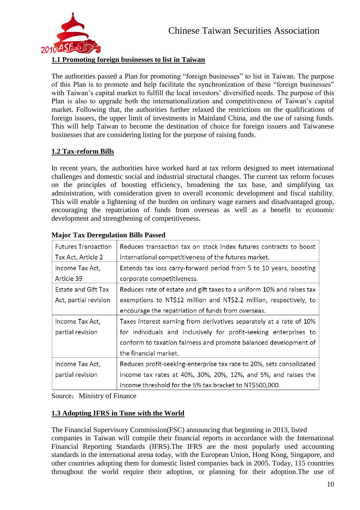

### **1.1 Promoting foreign businesses to list in Taiwan**

The authorities passed a Plan for promoting "foreign businesses" to list in Taiwan. The purpose of this Plan is to promote and help facilitate the synchronization of these "foreign businesses" with Taiwan's capital market to fulfill the local investors' diversified needs. The purpose of this Plan is also to upgrade both the internationalization and competitiveness of Taiwan's capital market. Following that, the authorities further relaxed the restrictions on the qualifications of foreign issuers, the upper limit of investments in Mainland China, and the use of raising funds. This will help Taiwan to become the destination of choice for foreign issuers and Taiwanese businesses that are considering listing for the purpose of raising funds.

### **1.2 Tax-reform Bills**

In recent years, the authorities have worked hard at tax reform designed to meet international challenges and domestic social and industrial structural changes. The current tax reform focuses on the principles of boosting efficiency, broadening the tax base, and simplifying tax administration, with consideration given to overall economic development and fiscal stability. This will enable a lightening of the burden on ordinary wage earners and disadvantaged group, encouraging the repatriation of funds from overseas as well as a benefit to economic development and strengthening of competitiveness.

| <b>Futures Transaction</b> | Reduces transaction tax on stock index futures contracts to boost     |  |  |  |  |  |
|----------------------------|-----------------------------------------------------------------------|--|--|--|--|--|
| Tax Act, Article 2         | international competitiveness of the futures market.                  |  |  |  |  |  |
| Income Tax Act,            | Extends tax loss carry-forward period from 5 to 10 years, boosting    |  |  |  |  |  |
| Article 39                 | corporate competitiveness.                                            |  |  |  |  |  |
| Estate and Gift Tax        | Reduces rate of estate and gift taxes to a uniform 10% and raises tax |  |  |  |  |  |
| Act, partial revision      | exemptions to NT\$12 million and NT\$2.2 million, respectively, to    |  |  |  |  |  |
|                            | encourage the repatriation of funds from overseas.                    |  |  |  |  |  |
| Income Tax Act,            | Taxes interest earning from derivatives separately at a rate of 10%   |  |  |  |  |  |
| partial revision           | for individuals and inclusively for profit-seeking enterprises to     |  |  |  |  |  |
|                            | conform to taxation fairness and promote balanced development of      |  |  |  |  |  |
|                            | the financial market.                                                 |  |  |  |  |  |
| Income Tax Act,            | Reduces profit-seeking-enterprise tax rate to 20%, sets consolidated  |  |  |  |  |  |
| partial revision           | income tax rates at 40%, 30%, 20%, 12%, and 5%, and raises the        |  |  |  |  |  |
|                            | income threshold for the 5% tax bracket to NT\$500,000.               |  |  |  |  |  |

#### **Major Tax Deregulation Bills Passed**

Source: Ministry of Finance

### **1.3 Adopting IFRS in Tune with the World**

The Financial Supervisory Commission(FSC) announcing that beginning in 2013, listed companies in Taiwan will compile their financial reports in accordance with the International Financial Reporting Standards (IFRS).The IFRS are the most popularly used accounting standards in the international arena today, with the European Union, Hong Kong, Singapore, and other countries adopting them for domestic listed companies back in 2005. Today, 115 countries throughout the world require their adoption, or planning for their adoption.The use of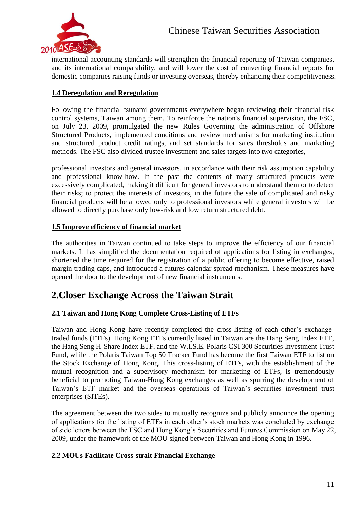

international accounting standards will strengthen the financial reporting of Taiwan companies, and its international comparability, and will lower the cost of converting financial reports for domestic companies raising funds or investing overseas, thereby enhancing their competitiveness.

### **1.4 Deregulation and Reregulation**

Following the financial tsunami governments everywhere began reviewing their financial risk control systems, Taiwan among them. To reinforce the nation's financial supervision, the FSC, on July 23, 2009, promulgated the new Rules Governing the administration of Offshore Structured Products, implemented conditions and review mechanisms for marketing institution and structured product credit ratings, and set standards for sales thresholds and marketing methods. The FSC also divided trustee investment and sales targets into two categories,

professional investors and general investors, in accordance with their risk assumption capability and professional know-how. In the past the contents of many structured products were excessively complicated, making it difficult for general investors to understand them or to detect their risks; to protect the interests of investors, in the future the sale of complicated and risky financial products will be allowed only to professional investors while general investors will be allowed to directly purchase only low-risk and low return structured debt.

### **1.5 Improve efficiency of financial market**

The authorities in Taiwan continued to take steps to improve the efficiency of our financial markets. It has simplified the documentation required of applications for listing in exchanges, shortened the time required for the registration of a public offering to become effective, raised margin trading caps, and introduced a futures calendar spread mechanism. These measures have opened the door to the development of new financial instruments.

### **2.Closer Exchange Across the Taiwan Strait**

#### **2.1 Taiwan and Hong Kong Complete Cross-Listing of ETFs**

Taiwan and Hong Kong have recently completed the cross-listing of each other's exchangetraded funds (ETFs). Hong Kong ETFs currently listed in Taiwan are the Hang Seng Index ETF, the Hang Seng H-Share Index ETF, and the W.I.S.E. Polaris CSI 300 Securities Investment Trust Fund, while the Polaris Taiwan Top 50 Tracker Fund has become the first Taiwan ETF to list on the Stock Exchange of Hong Kong. This cross-listing of ETFs, with the establishment of the mutual recognition and a supervisory mechanism for marketing of ETFs, is tremendously beneficial to promoting Taiwan-Hong Kong exchanges as well as spurring the development of Taiwan's ETF market and the overseas operations of Taiwan's securities investment trust enterprises (SITEs).

The agreement between the two sides to mutually recognize and publicly announce the opening of applications for the listing of ETFs in each other's stock markets was concluded by exchange of side letters between the FSC and Hong Kong's Securities and Futures Commission on May 22, 2009, under the framework of the MOU signed between Taiwan and Hong Kong in 1996.

#### **2.2 MOUs Facilitate Cross-strait Financial Exchange**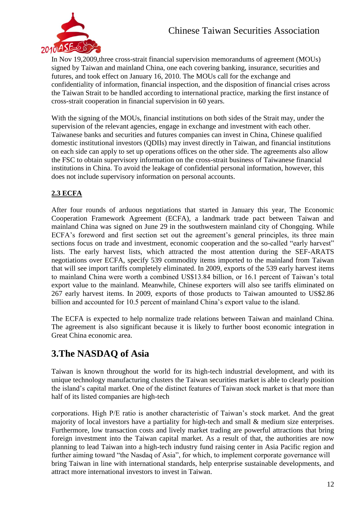

In Nov 19,2009,three cross-strait financial supervision memorandums of agreement (MOUs) signed by Taiwan and mainland China, one each covering banking, insurance, securities and futures, and took effect on January 16, 2010. The MOUs call for the exchange and confidentiality of information, financial inspection, and the disposition of financial crises across the Taiwan Strait to be handled according to international practice, marking the first instance of cross-strait cooperation in financial supervision in 60 years.

With the signing of the MOUs, financial institutions on both sides of the Strait may, under the supervision of the relevant agencies, engage in exchange and investment with each other. Taiwanese banks and securities and futures companies can invest in China, Chinese qualified domestic institutional investors (QDIIs) may invest directly in Taiwan, and financial institutions on each side can apply to set up operations offices on the other side. The agreements also allow the FSC to obtain supervisory information on the cross-strait business of Taiwanese financial institutions in China. To avoid the leakage of confidential personal information, however, this does not include supervisory information on personal accounts.

### **2.3 ECFA**

After four rounds of arduous negotiations that started in January this year, The Economic Cooperation Framework Agreement (ECFA), a landmark trade pact between Taiwan and mainland China was signed on June 29 in the southwestern mainland city of Chongqing. While ECFA's foreword and first section set out the agreement's general principles, its three main sections focus on trade and investment, economic cooperation and the so-called "early harvest" lists. The early harvest lists, which attracted the most attention during the SEF-ARATS negotiations over ECFA, specify 539 commodity items imported to the mainland from Taiwan that will see import tariffs completely eliminated. In 2009, exports of the 539 early harvest items to mainland China were worth a combined US\$13.84 billion, or 16.1 percent of Taiwan's total export value to the mainland. Meanwhile, Chinese exporters will also see tariffs eliminated on 267 early harvest items. In 2009, exports of those products to Taiwan amounted to US\$2.86 billion and accounted for 10.5 percent of mainland China's export value to the island.

The ECFA is expected to help normalize trade relations between Taiwan and mainland China. The agreement is also significant because it is likely to further boost economic integration in Great China economic area.

### **3.The NASDAQ of Asia**

Taiwan is known throughout the world for its high-tech industrial development, and with its unique technology manufacturing clusters the Taiwan securities market is able to clearly position the island's capital market. One of the distinct features of Taiwan stock market is that more than half of its listed companies are high-tech

corporations. High P/E ratio is another characteristic of Taiwan's stock market. And the great majority of local investors have a partiality for high-tech and small & medium size enterprises. Furthermore, low transaction costs and lively market trading are powerful attractions that bring foreign investment into the Taiwan capital market. As a result of that, the authorities are now planning to lead Taiwan into a high-tech industry fund raising center in Asia Pacific region and further aiming toward "the Nasdaq of Asia", for which, to implement corporate governance will bring Taiwan in line with international standards, help enterprise sustainable developments, and attract more international investors to invest in Taiwan.